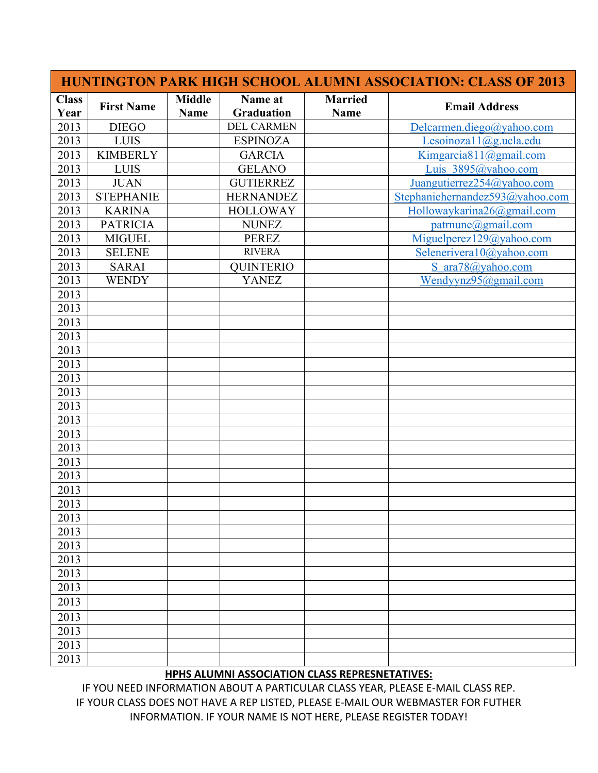|                      |                   |                              |                              | <b>HUNTINGTON PARK HIGH SCHOOL ALUMNI ASSOCIATION: CLASS OF 2013</b> |                                 |  |
|----------------------|-------------------|------------------------------|------------------------------|----------------------------------------------------------------------|---------------------------------|--|
| <b>Class</b><br>Year | <b>First Name</b> | <b>Middle</b><br><b>Name</b> | Name at<br><b>Graduation</b> | <b>Married</b><br><b>Name</b>                                        | <b>Email Address</b>            |  |
| 2013                 | <b>DIEGO</b>      |                              | <b>DEL CARMEN</b>            |                                                                      | Delcarmen.diego@yahoo.com       |  |
| 2013                 | <b>LUIS</b>       |                              | <b>ESPINOZA</b>              |                                                                      | Lesoinozal $1$ ( $@g.ucla.edu$  |  |
| 2013                 | <b>KIMBERLY</b>   |                              | <b>GARCIA</b>                |                                                                      | Kimgarcia811@gmail.com          |  |
| 2013                 | <b>LUIS</b>       |                              | <b>GELANO</b>                |                                                                      | Luis 3895@yahoo.com             |  |
| 2013                 | <b>JUAN</b>       |                              | <b>GUTIERREZ</b>             |                                                                      | Juangutierrez254@yahoo.com      |  |
| 2013                 | <b>STEPHANIE</b>  |                              | <b>HERNANDEZ</b>             |                                                                      | Stephaniehernandez593@yahoo.com |  |
| 2013                 | <b>KARINA</b>     |                              | <b>HOLLOWAY</b>              |                                                                      | Hollowaykarina26@gmail.com      |  |
| 2013                 | <b>PATRICIA</b>   |                              | <b>NUNEZ</b>                 |                                                                      | patr nune@g mail.com            |  |
| 2013                 | <b>MIGUEL</b>     |                              | <b>PEREZ</b>                 |                                                                      | Miguelperez129@yahoo.com        |  |
| 2013                 | <b>SELENE</b>     |                              | <b>RIVERA</b>                |                                                                      | Selenerivera10@yahoo.com        |  |
| 2013                 | <b>SARAI</b>      |                              | <b>QUINTERIO</b>             |                                                                      | S ara78@yahoo.com               |  |
| 2013                 | <b>WENDY</b>      |                              | <b>YANEZ</b>                 |                                                                      | Wendyynz95@gmail.com            |  |
| 2013                 |                   |                              |                              |                                                                      |                                 |  |
| 2013                 |                   |                              |                              |                                                                      |                                 |  |
| 2013                 |                   |                              |                              |                                                                      |                                 |  |
| 2013                 |                   |                              |                              |                                                                      |                                 |  |
| 2013                 |                   |                              |                              |                                                                      |                                 |  |
| 2013                 |                   |                              |                              |                                                                      |                                 |  |
| 2013                 |                   |                              |                              |                                                                      |                                 |  |
| 2013                 |                   |                              |                              |                                                                      |                                 |  |
| 2013                 |                   |                              |                              |                                                                      |                                 |  |
| 2013                 |                   |                              |                              |                                                                      |                                 |  |
| 2013                 |                   |                              |                              |                                                                      |                                 |  |
| 2013                 |                   |                              |                              |                                                                      |                                 |  |
| 2013                 |                   |                              |                              |                                                                      |                                 |  |
| 2013                 |                   |                              |                              |                                                                      |                                 |  |
| 2013                 |                   |                              |                              |                                                                      |                                 |  |
| 2013                 |                   |                              |                              |                                                                      |                                 |  |
| 2013                 |                   |                              |                              |                                                                      |                                 |  |
| 2013                 |                   |                              |                              |                                                                      |                                 |  |
| 2013                 |                   |                              |                              |                                                                      |                                 |  |
| 2013                 |                   |                              |                              |                                                                      |                                 |  |
| 2013                 |                   |                              |                              |                                                                      |                                 |  |
| 2013                 |                   |                              |                              |                                                                      |                                 |  |
| 2013                 |                   |                              |                              |                                                                      |                                 |  |
| 2013                 |                   |                              |                              |                                                                      |                                 |  |
| 2013                 |                   |                              |                              |                                                                      |                                 |  |
| 2013                 |                   |                              |                              |                                                                      |                                 |  |
| 2013                 |                   |                              |                              |                                                                      |                                 |  |

## **HPHS ALUMNI ASSOCIATION CLASS REPRESNETATIVES:**

IF YOU NEED INFORMATION ABOUT A PARTICULAR CLASS YEAR, PLEASE E-MAIL CLASS REP. IF YOUR CLASS DOES NOT HAVE A REP LISTED, PLEASE E-MAIL OUR WEBMASTER FOR FUTHER INFORMATION. IF YOUR NAME IS NOT HERE, PLEASE REGISTER TODAY!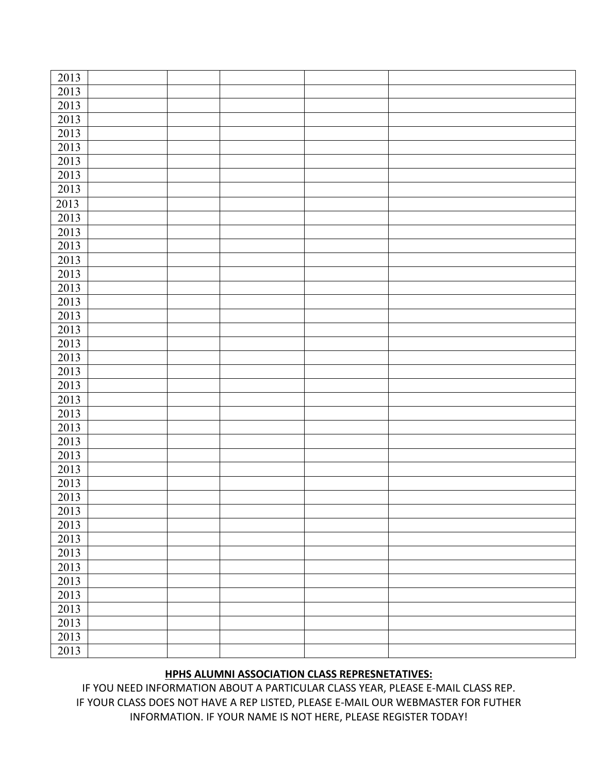| 2013 |  |  |  |
|------|--|--|--|
| 2013 |  |  |  |
| 2013 |  |  |  |
| 2013 |  |  |  |
| 2013 |  |  |  |
| 2013 |  |  |  |
| 2013 |  |  |  |
| 2013 |  |  |  |
| 2013 |  |  |  |
| 2013 |  |  |  |
| 2013 |  |  |  |
| 2013 |  |  |  |
| 2013 |  |  |  |
| 2013 |  |  |  |
| 2013 |  |  |  |
| 2013 |  |  |  |
| 2013 |  |  |  |
| 2013 |  |  |  |
| 2013 |  |  |  |
| 2013 |  |  |  |
| 2013 |  |  |  |
| 2013 |  |  |  |
| 2013 |  |  |  |
| 2013 |  |  |  |
| 2013 |  |  |  |
| 2013 |  |  |  |
| 2013 |  |  |  |
| 2013 |  |  |  |
| 2013 |  |  |  |
| 2013 |  |  |  |
| 2013 |  |  |  |
| 2013 |  |  |  |
| 2013 |  |  |  |
| 2013 |  |  |  |
| 2013 |  |  |  |
| 2013 |  |  |  |
| 2013 |  |  |  |
| 2013 |  |  |  |
| 2013 |  |  |  |
| 2013 |  |  |  |
| 2013 |  |  |  |
| 2013 |  |  |  |

## **HPHS ALUMNI ASSOCIATION CLASS REPRESNETATIVES:**

IF YOU NEED INFORMATION ABOUT A PARTICULAR CLASS YEAR, PLEASE E-MAIL CLASS REP. IF YOUR CLASS DOES NOT HAVE A REP LISTED, PLEASE E-MAIL OUR WEBMASTER FOR FUTHER INFORMATION. IF YOUR NAME IS NOT HERE, PLEASE REGISTER TODAY!